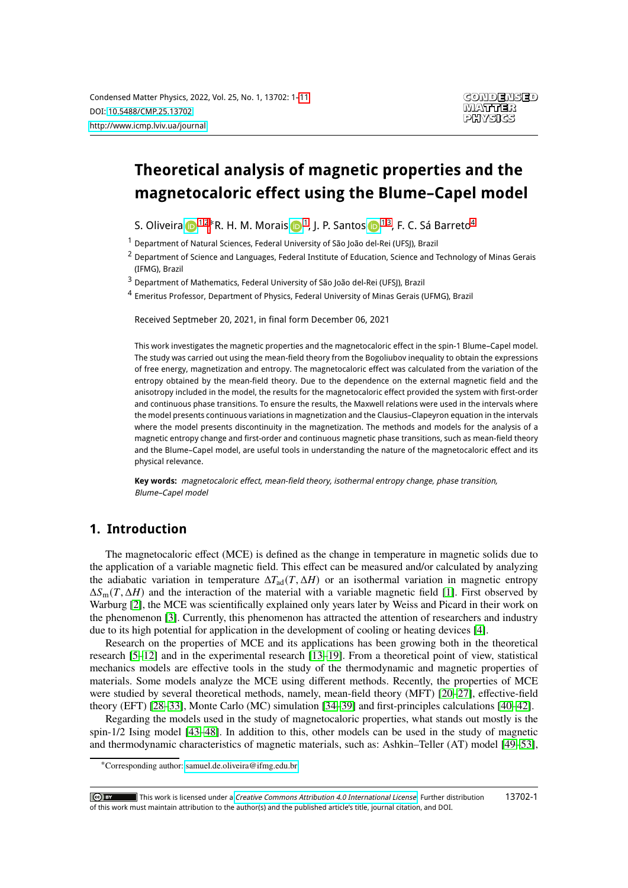# **Theoretical analysis of magnetic properties and the magnetocaloric effect using the Blume–Capel model**

S. Oliveira D<sup>[1](#page-0-0)[,2](#page-0-1)</sup>\*R. H. M. Morais D<sup>1</sup>, J. P. Santos D<sup>1[,3](#page-0-2)</sup>, F. C. Sá Barreto<sup>[4](#page-0-3)</sup>

<span id="page-0-0"></span><sup>1</sup> Department of Natural Sciences, Federal University of São João del-Rei (UFSJ), Brazil

<span id="page-0-1"></span><sup>2</sup> Department of Science and Languages, Federal Institute of Education, Science and Technology of Minas Gerais (IFMG), Brazil

<span id="page-0-2"></span><sup>3</sup> Department of Mathematics, Federal University of São João del-Rei (UFSJ), Brazil

<span id="page-0-3"></span><sup>4</sup> Emeritus Professor, Department of Physics, Federal University of Minas Gerais (UFMG), Brazil

Received Septmeber 20, 2021, in final form December 06, 2021

This work investigates the magnetic properties and the magnetocaloric effect in the spin-1 Blume–Capel model. The study was carried out using the mean-field theory from the Bogoliubov inequality to obtain the expressions of free energy, magnetization and entropy. The magnetocaloric effect was calculated from the variation of the entropy obtained by the mean-field theory. Due to the dependence on the external magnetic field and the anisotropy included in the model, the results for the magnetocaloric effect provided the system with first-order and continuous phase transitions. To ensure the results, the Maxwell relations were used in the intervals where the model presents continuous variations in magnetization and the Clausius–Clapeyron equation in the intervals where the model presents discontinuity in the magnetization. The methods and models for the analysis of a magnetic entropy change and first-order and continuous magnetic phase transitions, such as mean-field theory and the Blume–Capel model, are useful tools in understanding the nature of the magnetocaloric effect and its physical relevance.

**Key words:** magnetocaloric effect, mean-field theory, isothermal entropy change, phase transition, Blume–Capel model

#### **1. Introduction**

The magnetocaloric effect (MCE) is defined as the change in temperature in magnetic solids due to the application of a variable magnetic field. This effect can be measured and/or calculated by analyzing the adiabatic variation in temperature  $\Delta T_{\text{ad}}(T, \Delta H)$  or an isothermal variation in magnetic entropy  $\Delta S_{\rm m}(T, \Delta H)$  and the interaction of the material with a variable magnetic field [\[1\]](#page-8-0). First observed by Warburg [\[2\]](#page-8-1), the MCE was scientifically explained only years later by Weiss and Picard in their work on the phenomenon [\[3\]](#page-8-2). Currently, this phenomenon has attracted the attention of researchers and industry due to its high potential for application in the development of cooling or heating devices [\[4\]](#page-8-3).

Research on the properties of MCE and its applications has been growing both in the theoretical research [\[5–](#page-8-4)[12\]](#page-8-5) and in the experimental research [\[13](#page-8-6)[–19\]](#page-8-7). From a theoretical point of view, statistical mechanics models are effective tools in the study of the thermodynamic and magnetic properties of materials. Some models analyze the MCE using different methods. Recently, the properties of MCE were studied by several theoretical methods, namely, mean-field theory (MFT) [\[20](#page-8-8)[–27\]](#page-8-9), effective-field theory (EFT) [\[28](#page-8-10)[–33\]](#page-9-0), Monte Carlo (MC) simulation [\[34–](#page-9-1)[39\]](#page-9-2) and first-principles calculations [\[40](#page-9-3)[–42\]](#page-9-4).

Regarding the models used in the study of magnetocaloric properties, what stands out mostly is the spin-1/2 Ising model [\[43](#page-9-5)[–48\]](#page-9-6). In addition to this, other models can be used in the study of magnetic and thermodynamic characteristics of magnetic materials, such as: Ashkin–Teller (AT) model [\[49–](#page-9-7)[53\]](#page-9-8),

This work is licensed under a [Creative Commons Attribution 4.0 International License](https://creativecommons.org/licenses/by/4.0/). Further distribution of this work must maintain attribution to the author(s) and the published article's title, journal citation, and DOI. 13702-1

<sup>∗</sup>Corresponding author: [samuel.de.oliveira@ifmg.edu.br.](mailto:samuel.de.oliveira@ifmg.edu.br)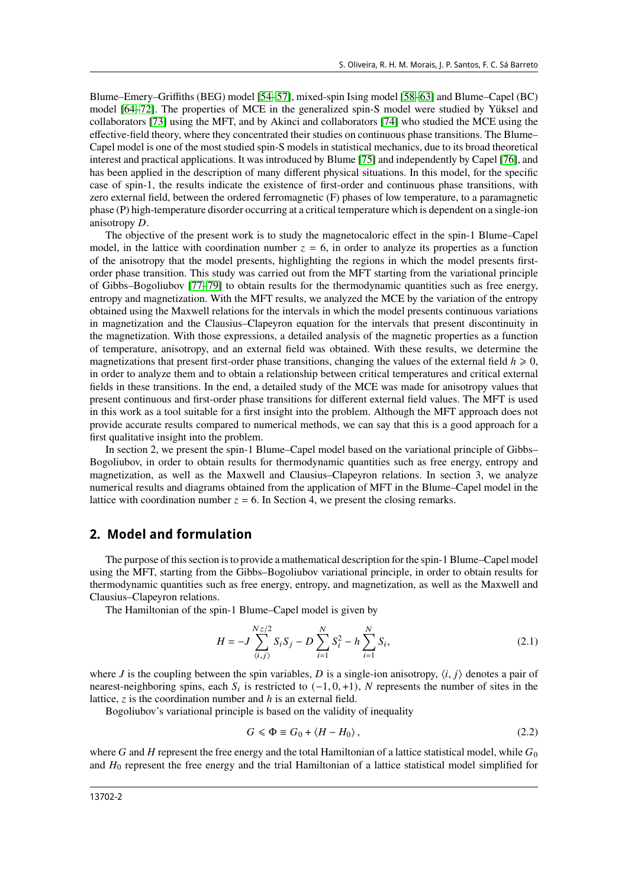Blume–Emery–Griffiths (BEG) model [\[54](#page-9-9)[–57\]](#page-9-10), mixed-spin Ising model [\[58](#page-9-11)[–63\]](#page-9-12) and Blume–Capel (BC) model [\[64](#page-9-13)[–72\]](#page-9-14). The properties of MCE in the generalized spin-S model were studied by Yüksel and collaborators [\[73\]](#page-9-15) using the MFT, and by Akinci and collaborators [\[74\]](#page-9-16) who studied the MCE using the effective-field theory, where they concentrated their studies on continuous phase transitions. The Blume– Capel model is one of the most studied spin-S models in statistical mechanics, due to its broad theoretical interest and practical applications. It was introduced by Blume [\[75\]](#page-10-1) and independently by Capel [\[76\]](#page-10-2), and has been applied in the description of many different physical situations. In this model, for the specific case of spin-1, the results indicate the existence of first-order and continuous phase transitions, with zero external field, between the ordered ferromagnetic (F) phases of low temperature, to a paramagnetic phase (P) high-temperature disorder occurring at a critical temperature which is dependent on a single-ion anisotropy  $D$ .

The objective of the present work is to study the magnetocaloric effect in the spin-1 Blume–Capel model, in the lattice with coordination number  $z = 6$ , in order to analyze its properties as a function of the anisotropy that the model presents, highlighting the regions in which the model presents firstorder phase transition. This study was carried out from the MFT starting from the variational principle of Gibbs–Bogoliubov [\[77–](#page-10-3)[79\]](#page-10-4) to obtain results for the thermodynamic quantities such as free energy, entropy and magnetization. With the MFT results, we analyzed the MCE by the variation of the entropy obtained using the Maxwell relations for the intervals in which the model presents continuous variations in magnetization and the Clausius–Clapeyron equation for the intervals that present discontinuity in the magnetization. With those expressions, a detailed analysis of the magnetic properties as a function of temperature, anisotropy, and an external field was obtained. With these results, we determine the magnetizations that present first-order phase transitions, changing the values of the external field  $h \ge 0$ , in order to analyze them and to obtain a relationship between critical temperatures and critical external fields in these transitions. In the end, a detailed study of the MCE was made for anisotropy values that present continuous and first-order phase transitions for different external field values. The MFT is used in this work as a tool suitable for a first insight into the problem. Although the MFT approach does not provide accurate results compared to numerical methods, we can say that this is a good approach for a first qualitative insight into the problem.

In section 2, we present the spin-1 Blume–Capel model based on the variational principle of Gibbs– Bogoliubov, in order to obtain results for thermodynamic quantities such as free energy, entropy and magnetization, as well as the Maxwell and Clausius–Clapeyron relations. In section 3, we analyze numerical results and diagrams obtained from the application of MFT in the Blume–Capel model in the lattice with coordination number  $z = 6$ . In Section 4, we present the closing remarks.

#### **2. Model and formulation**

The purpose of this section is to provide a mathematical description for the spin-1 Blume–Capel model using the MFT, starting from the Gibbs–Bogoliubov variational principle, in order to obtain results for thermodynamic quantities such as free energy, entropy, and magnetization, as well as the Maxwell and Clausius–Clapeyron relations.

The Hamiltonian of the spin-1 Blume–Capel model is given by

$$
H = -J \sum_{\langle i,j \rangle}^{Nz/2} S_i S_j - D \sum_{i=1}^{N} S_i^2 - h \sum_{i=1}^{N} S_i,
$$
 (2.1)

where J is the coupling between the spin variables, D is a single-ion anisotropy,  $\langle i, j \rangle$  denotes a pair of nearest-neighboring spins, each  $S_i$  is restricted to  $(-1, 0, +1)$ , N represents the number of sites in the lattice,  $\zeta$  is the coordination number and  $h$  is an external field.

Bogoliubov's variational principle is based on the validity of inequality

$$
G \leq \Phi \equiv G_0 + \langle H - H_0 \rangle \,, \tag{2.2}
$$

where G and H represent the free energy and the total Hamiltonian of a lattice statistical model, while  $G_0$ and  $H_0$  represent the free energy and the trial Hamiltonian of a lattice statistical model simplified for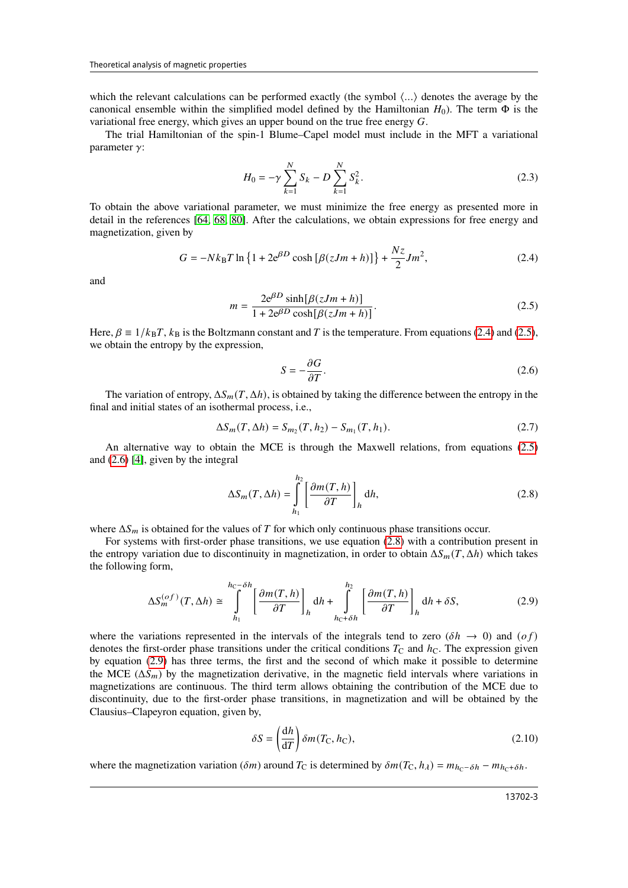which the relevant calculations can be performed exactly (the symbol  $\langle \ldots \rangle$ ) denotes the average by the canonical ensemble within the simplified model defined by the Hamiltonian  $H_0$ ). The term  $\Phi$  is the variational free energy, which gives an upper bound on the true free energy  $G$ .

The trial Hamiltonian of the spin-1 Blume–Capel model must include in the MFT a variational parameter  $\gamma$ :

$$
H_0 = -\gamma \sum_{k=1}^{N} S_k - D \sum_{k=1}^{N} S_k^2.
$$
 (2.3)

To obtain the above variational parameter, we must minimize the free energy as presented more in detail in the references [\[64,](#page-9-13) [68,](#page-9-17) [80\]](#page-10-5). After the calculations, we obtain expressions for free energy and magnetization, given by

<span id="page-2-0"></span>
$$
G = -Nk_{\rm B}T \ln \{ 1 + 2e^{\beta D} \cosh \left[ \beta (zJm + h) \right] \} + \frac{Nz}{2} Jm^2,
$$
 (2.4)

and

<span id="page-2-1"></span>
$$
m = \frac{2e^{\beta D}\sinh[\beta(zJm+h)]}{1 + 2e^{\beta D}\cosh[\beta(zJm+h)]}.
$$
\n(2.5)

Here,  $\beta \equiv 1/k_B T$ ,  $k_B$  is the Boltzmann constant and T is the temperature. From equations [\(2.4\)](#page-2-0) and [\(2.5\)](#page-2-1), we obtain the entropy by the expression,

<span id="page-2-2"></span>
$$
S = -\frac{\partial G}{\partial T}.\tag{2.6}
$$

The variation of entropy,  $\Delta S_m(T, \Delta h)$ , is obtained by taking the difference between the entropy in the final and initial states of an isothermal process, i.e.,

<span id="page-2-6"></span>
$$
\Delta S_m(T, \Delta h) = S_{m_2}(T, h_2) - S_{m_1}(T, h_1). \tag{2.7}
$$

An alternative way to obtain the MCE is through the Maxwell relations, from equations [\(2.5\)](#page-2-1) and [\(2.6\)](#page-2-2) [\[4\]](#page-8-3), given by the integral

<span id="page-2-3"></span>
$$
\Delta S_m(T, \Delta h) = \int_{h_1}^{h_2} \left[ \frac{\partial m(T, h)}{\partial T} \right]_h \mathrm{d}h,\tag{2.8}
$$

where  $\Delta S_m$  is obtained for the values of T for which only continuous phase transitions occur.

For systems with first-order phase transitions, we use equation [\(2.8\)](#page-2-3) with a contribution present in the entropy variation due to discontinuity in magnetization, in order to obtain  $\Delta S_m(T, \Delta h)$  which takes the following form,

<span id="page-2-4"></span>
$$
\Delta S_m^{(of)}(T, \Delta h) \cong \int_{h_1}^{h_C - \delta h} \left[ \frac{\partial m(T, h)}{\partial T} \right]_h \mathrm{d}h + \int_{h_C + \delta h}^{h_2} \left[ \frac{\partial m(T, h)}{\partial T} \right]_h \mathrm{d}h + \delta S,\tag{2.9}
$$

where the variations represented in the intervals of the integrals tend to zero  $(\delta h \to 0)$  and  $(\sigma f)$ denotes the first-order phase transitions under the critical conditions  $T_c$  and  $h_c$ . The expression given by equation [\(2.9\)](#page-2-4) has three terms, the first and the second of which make it possible to determine the MCE ( $\Delta S_m$ ) by the magnetization derivative, in the magnetic field intervals where variations in magnetizations are continuous. The third term allows obtaining the contribution of the MCE due to discontinuity, due to the first-order phase transitions, in magnetization and will be obtained by the Clausius–Clapeyron equation, given by,

<span id="page-2-5"></span>
$$
\delta S = \left(\frac{dh}{dT}\right)\delta m(T_{\rm C}, h_{\rm C}),\tag{2.10}
$$

where the magnetization variation ( $\delta m$ ) around T<sub>C</sub> is determined by  $\delta m(T_c, h_\lambda) = m_{hc-\delta h} - m_{hc+\delta h}$ .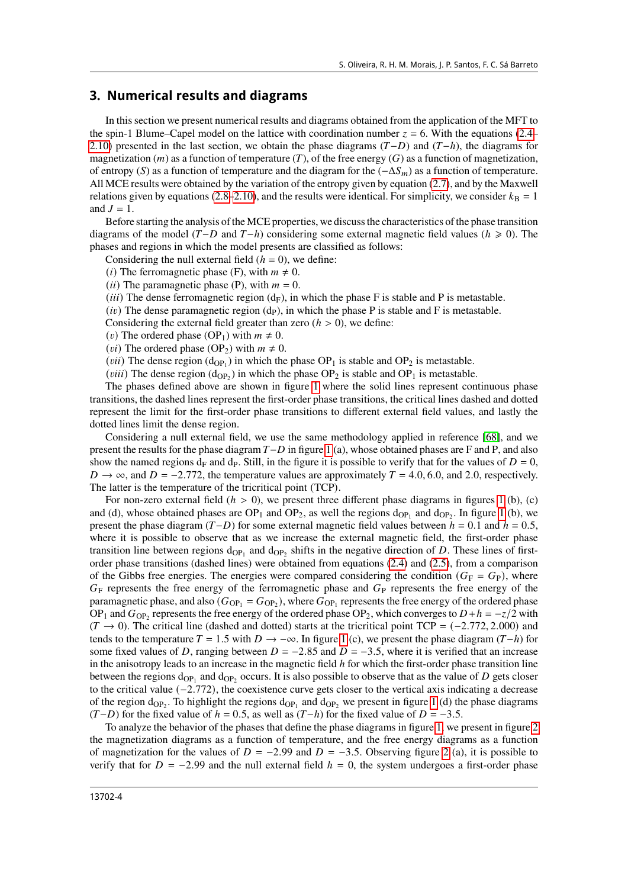#### **3. Numerical results and diagrams**

In this section we present numerical results and diagrams obtained from the application of the MFT to the spin-1 Blume–Capel model on the lattice with coordination number  $z = 6$ . With the equations [\(2.4–](#page-2-0) [2.10\)](#page-2-5) presented in the last section, we obtain the phase diagrams  $(T-D)$  and  $(T-h)$ , the diagrams for magnetization (*m*) as a function of temperature (*T*), of the free energy (*G*) as a function of magnetization, of entropy (S) as a function of temperature and the diagram for the  $(-\Delta S_m)$  as a function of temperature. All MCE results were obtained by the variation of the entropy given by equation [\(2.7\)](#page-2-6), and by the Maxwell relations given by equations [\(2.8–](#page-2-3)[2.10\)](#page-2-5), and the results were identical. For simplicity, we consider  $k_B = 1$ and  $J = 1$ .

Before starting the analysis of the MCE properties, we discuss the characteristics of the phase transition diagrams of the model ( $T-D$  and  $T-h$ ) considering some external magnetic field values ( $h \ge 0$ ). The phases and regions in which the model presents are classified as follows:

Considering the null external field  $(h = 0)$ , we define:

(*i*) The ferromagnetic phase (F), with  $m \neq 0$ .

(*ii*) The paramagnetic phase (P), with  $m = 0$ .

(*iii*) The dense ferromagnetic region  $(d_F)$ , in which the phase F is stable and P is metastable.

(*iv*) The dense paramagnetic region ( $dp$ ), in which the phase P is stable and F is metastable.

Considering the external field greater than zero  $(h > 0)$ , we define:

(*v*) The ordered phase (OP<sub>1</sub>) with  $m \neq 0$ .

(*vi*) The ordered phase (OP<sub>2</sub>) with  $m \neq 0$ .

(*vii*) The dense region ( $d_{OP_1}$ ) in which the phase  $OP_1$  is stable and  $OP_2$  is metastable.

(*viii*) The dense region ( $d_{OP_2}$ ) in which the phase OP<sub>2</sub> is stable and OP<sub>1</sub> is metastable.

The phases defined above are shown in figure [1](#page-4-0) where the solid lines represent continuous phase transitions, the dashed lines represent the first-order phase transitions, the critical lines dashed and dotted represent the limit for the first-order phase transitions to different external field values, and lastly the dotted lines limit the dense region.

Considering a null external field, we use the same methodology applied in reference [\[68\]](#page-9-17), and we present the results for the phase diagram  $T - D$  in figure [1](#page-4-0) (a), whose obtained phases are F and P, and also show the named regions  $d_F$  and  $d_P$ . Still, in the figure it is possible to verify that for the values of  $D = 0$ ,  $D \rightarrow \infty$ , and  $D = -2.772$ , the temperature values are approximately  $T = 4.0, 6.0$ , and 2.0, respectively. The latter is the temperature of the tricritical point (TCP).

For non-zero external field  $(h > 0)$ , we present three different phase diagrams in figures [1](#page-4-0) (b), (c) and (d), whose obtained phases are  $OP_1$  and  $OP_2$ , as well the regions  $d_{OP_1}$  and  $d_{OP_2}$ . In figure [1](#page-4-0) (b), we present the phase diagram  $(T-D)$  for some external magnetic field values between  $h = 0.1$  and  $h = 0.5$ , where it is possible to observe that as we increase the external magnetic field, the first-order phase transition line between regions  $d_{OP_1}$  and  $d_{OP_2}$  shifts in the negative direction of D. These lines of firstorder phase transitions (dashed lines) were obtained from equations [\(2.4\)](#page-2-0) and [\(2.5\)](#page-2-1), from a comparison of the Gibbs free energies. The energies were compared considering the condition  $(G_F = G_P)$ , where  $G_F$  represents the free energy of the ferromagnetic phase and  $G_P$  represents the free energy of the paramagnetic phase, and also  $(G_{OP_1} = G_{OP_2})$ , where  $G_{OP_1}$  represents the free energy of the ordered phase OP<sub>1</sub> and  $G_{OP_2}$  represents the free energy of the ordered phase OP<sub>2</sub>, which converges to  $D + h = -z/2$  with  $(T \rightarrow 0)$ . The critical line (dashed and dotted) starts at the tricritical point TCP = (-2.772, 2.000) and tends to the temperature  $T = 1.5$  $T = 1.5$  $T = 1.5$  with  $D \rightarrow -\infty$ . In figure 1 (c), we present the phase diagram  $(T-h)$  for some fixed values of D, ranging between  $D = -2.85$  and  $D = -3.5$ , where it is verified that an increase in the anisotropy leads to an increase in the magnetic field  *for which the first-order phase transition line* between the regions  $d_{OP_1}$  and  $d_{OP_2}$  occurs. It is also possible to observe that as the value of D gets closer to the critical value  $(-2.772)$ , the coexistence curve gets closer to the vertical axis indicating a decrease of the region  $d_{OP_2}$ . To highlight the regions  $d_{OP_1}$  and  $d_{OP_2}$  we present in figure [1](#page-4-0) (d) the phase diagrams  $(T-D)$  for the fixed value of  $h = 0.5$ , as well as  $(T-h)$  for the fixed value of  $D = -3.5$ .

To analyze the behavior of the phases that define the phase diagrams in figure [1,](#page-4-0) we present in figure [2](#page-5-0) the magnetization diagrams as a function of temperature, and the free energy diagrams as a function of magnetization for the values of  $D = -2.99$  and  $D = -3.5$ . Observing figure [2](#page-5-0) (a), it is possible to verify that for  $D = -2.99$  and the null external field  $h = 0$ , the system undergoes a first-order phase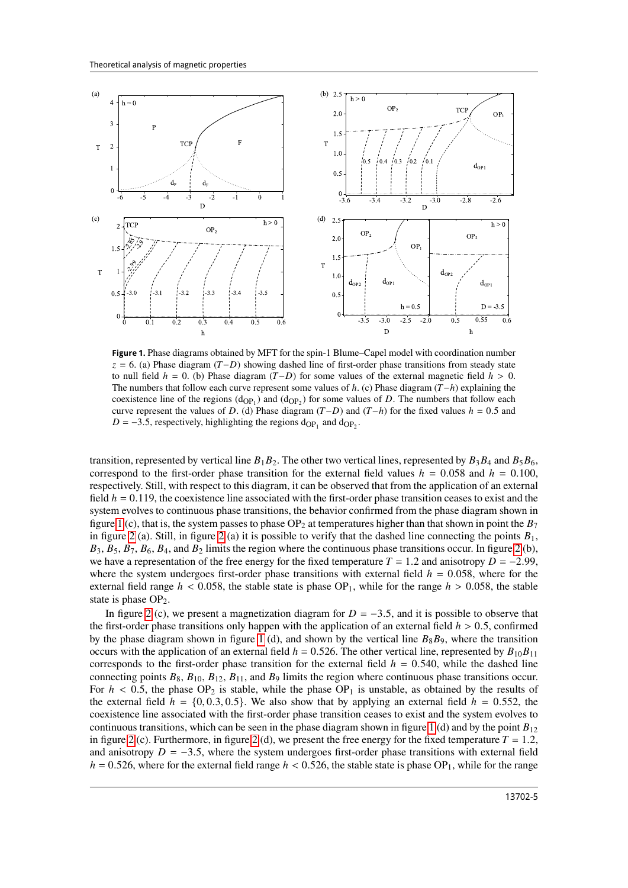

<span id="page-4-0"></span>**Figure 1.** Phase diagrams obtained by MFT for the spin-1 Blume–Capel model with coordination number  $z = 6$ . (a) Phase diagram ( $T-D$ ) showing dashed line of first-order phase transitions from steady state to null field  $h = 0$ . (b) Phase diagram  $(T-D)$  for some values of the external magnetic field  $h > 0$ . The numbers that follow each curve represent some values of  $h$ . (c) Phase diagram  $(T-h)$  explaining the coexistence line of the regions  $(d_{OP_1})$  and  $(d_{OP_2})$  for some values of D. The numbers that follow each curve represent the values of D. (d) Phase diagram  $(T-D)$  and  $(T-h)$  for the fixed values  $h = 0.5$  and  $D = -3.5$ , respectively, highlighting the regions  $d_{OP_1}$  and  $d_{OP_2}$ .

transition, represented by vertical line  $B_1B_2$ . The other two vertical lines, represented by  $B_3B_4$  and  $B_5B_6$ , correspond to the first-order phase transition for the external field values  $h = 0.058$  and  $h = 0.100$ , respectively. Still, with respect to this diagram, it can be observed that from the application of an external field  $h = 0.119$ , the coexistence line associated with the first-order phase transition ceases to exist and the system evolves to continuous phase transitions, the behavior confirmed from the phase diagram shown in figure [1](#page-4-0) (c), that is, the system passes to phase OP<sub>2</sub> at temperatures higher than that shown in point the  $B_7$ in figure [2](#page-5-0) (a). Still, in figure 2 (a) it is possible to verify that the dashed line connecting the points  $B_1$ ,  $B_3$ ,  $B_5$ ,  $B_7$ ,  $B_6$ ,  $B_4$ , and  $B_2$  limits the region where the continuous phase transitions occur. In figure [2](#page-5-0) (b), we have a representation of the free energy for the fixed temperature  $T = 1.2$  and anisotropy  $D = -2.99$ , where the system undergoes first-order phase transitions with external field  $h = 0.058$ , where for the external field range  $h < 0.058$ , the stable state is phase  $OP_1$ , while for the range  $h > 0.058$ , the stable state is phase  $OP<sub>2</sub>$ .

In figure [2](#page-5-0) (c), we present a magnetization diagram for  $D = -3.5$ , and it is possible to observe that the first-order phase transitions only happen with the application of an external field  $h > 0.5$ , confirmed by the phase diagram shown in figure [1](#page-4-0) (d), and shown by the vertical line  $B_8B_9$ , where the transition occurs with the application of an external field  $h = 0.526$ . The other vertical line, represented by  $B_{10}B_{11}$ corresponds to the first-order phase transition for the external field  $h = 0.540$ , while the dashed line connecting points  $B_8$ ,  $B_{10}$ ,  $B_{12}$ ,  $B_{11}$ , and  $B_9$  limits the region where continuous phase transitions occur. For  $h < 0.5$ , the phase OP<sub>2</sub> is stable, while the phase OP<sub>1</sub> is unstable, as obtained by the results of the external field  $h = \{0, 0.3, 0.5\}$ . We also show that by applying an external field  $h = 0.552$ , the coexistence line associated with the first-order phase transition ceases to exist and the system evolves to continuous transitions, which can be seen in the phase diagram shown in figure [1](#page-4-0) (d) and by the point  $B_{12}$ in figure [2](#page-5-0) (c). Furthermore, in figure 2 (d), we present the free energy for the fixed temperature  $T = 1.2$ , and anisotropy  $D = -3.5$ , where the system undergoes first-order phase transitions with external field  $h = 0.526$ , where for the external field range  $h < 0.526$ , the stable state is phase OP<sub>1</sub>, while for the range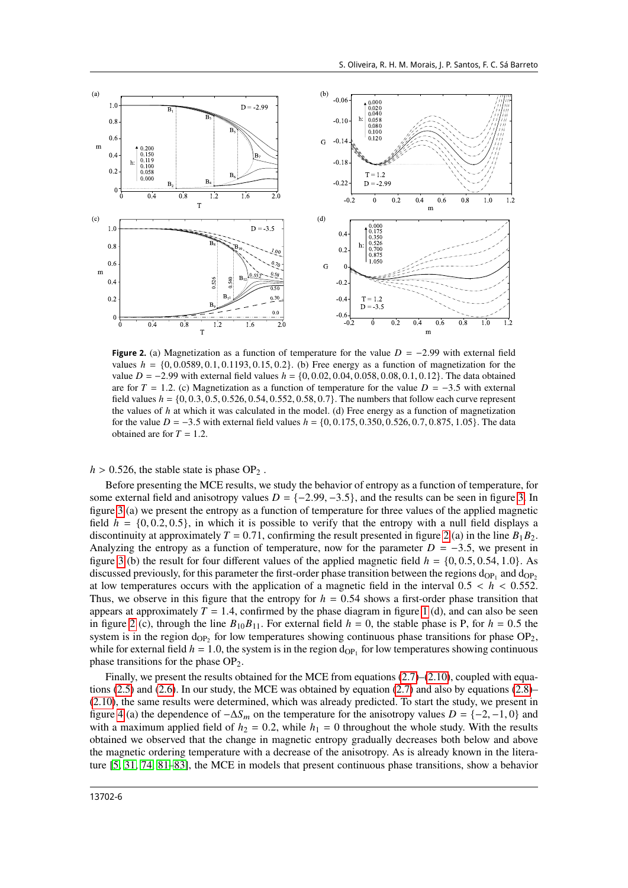

<span id="page-5-0"></span>**Figure 2.** (a) Magnetization as a function of temperature for the value  $D = -2.99$  with external field values  $h = \{0, 0.0589, 0.1, 0.1193, 0.15, 0.2\}$ . (b) Free energy as a function of magnetization for the value  $D = -2.99$  with external field values  $h = \{0, 0.02, 0.04, 0.058, 0.08, 0.1, 0.12\}$ . The data obtained are for  $T = 1.2$ . (c) Magnetization as a function of temperature for the value  $D = -3.5$  with external field values  $h = \{0, 0.3, 0.5, 0.526, 0.54, 0.552, 0.58, 0.7\}$ . The numbers that follow each curve represent the values of  $h$  at which it was calculated in the model. (d) Free energy as a function of magnetization for the value  $D = -3.5$  with external field values  $h = \{0, 0.175, 0.350, 0.526, 0.7, 0.875, 1.05\}$ . The data obtained are for  $T = 1.2$ .

 $h > 0.526$ , the stable state is phase OP<sub>2</sub>.

Before presenting the MCE results, we study the behavior of entropy as a function of temperature, for some external field and anisotropy values  $D = \{-2.99, -3.5\}$ , and the results can be seen in figure [3.](#page-6-0) In figure [3](#page-6-0) (a) we present the entropy as a function of temperature for three values of the applied magnetic field  $h = \{0, 0.2, 0.5\}$ , in which it is possible to verify that the entropy with a null field displays a discontinuity at approximately  $T = 0.71$ , confirming the result presented in figure [2](#page-5-0) (a) in the line  $B_1B_2$ . Analyzing the entropy as a function of temperature, now for the parameter  $D = -3.5$ , we present in figure [3](#page-6-0) (b) the result for four different values of the applied magnetic field  $h = \{0, 0.5, 0.54, 1.0\}$ . As discussed previously, for this parameter the first-order phase transition between the regions  $d_{OP_1}$  and  $d_{OP_2}$ at low temperatures occurs with the application of a magnetic field in the interval  $0.5 < h < 0.552$ . Thus, we observe in this figure that the entropy for  $h = 0.54$  shows a first-order phase transition that appears at approximately  $T = 1.4$  $T = 1.4$  $T = 1.4$ , confirmed by the phase diagram in figure 1 (d), and can also be seen in figure [2](#page-5-0) (c), through the line  $B_{10}B_{11}$ . For external field  $h = 0$ , the stable phase is P, for  $h = 0.5$  the system is in the region  $d_{OP_2}$  for low temperatures showing continuous phase transitions for phase  $OP_2$ , while for external field  $h = 1.0$ , the system is in the region  $d_{OP_1}$  for low temperatures showing continuous phase transitions for the phase  $OP<sub>2</sub>$ .

Finally, we present the results obtained for the MCE from equations  $(2.7)$ – $(2.10)$ , coupled with equa-tions [\(2.5\)](#page-2-1) and [\(2.6\)](#page-2-2). In our study, the MCE was obtained by equation [\(2.7\)](#page-2-6) and also by equations [\(2.8\)](#page-2-3)– [\(2.10\)](#page-2-5), the same results were determined, which was already predicted. To start the study, we present in figure [4](#page-6-1) (a) the dependence of  $-\Delta S_m$  on the temperature for the anisotropy values  $D = \{-2, -1, 0\}$  and with a maximum applied field of  $h_2 = 0.2$ , while  $h_1 = 0$  throughout the whole study. With the results obtained we observed that the change in magnetic entropy gradually decreases both below and above the magnetic ordering temperature with a decrease of the anisotropy. As is already known in the literature [\[5,](#page-8-4) [31,](#page-9-18) [74,](#page-9-16) [81](#page-10-6)[–83\]](#page-10-7), the MCE in models that present continuous phase transitions, show a behavior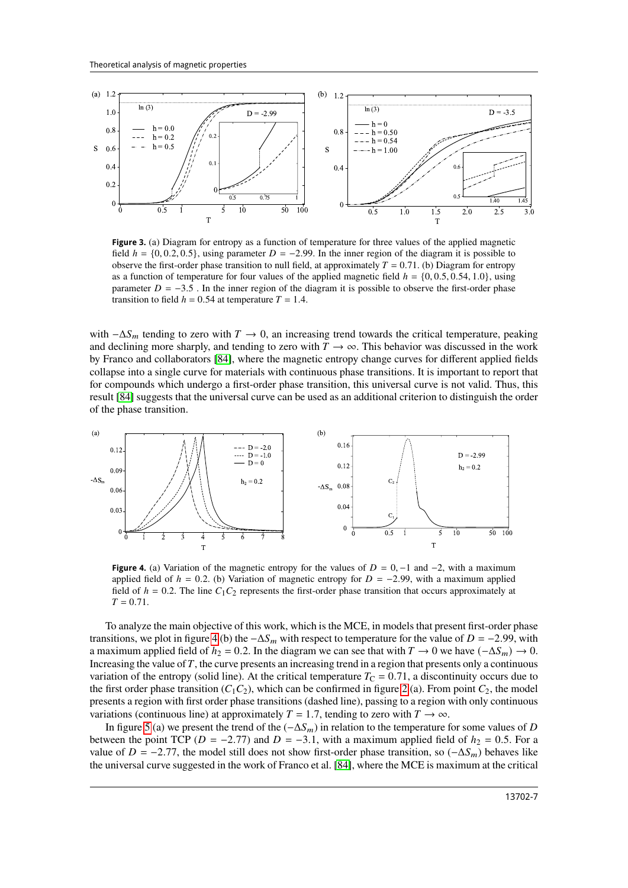

<span id="page-6-0"></span>**Figure 3.** (a) Diagram for entropy as a function of temperature for three values of the applied magnetic field  $h = \{0, 0.2, 0.5\}$ , using parameter  $D = -2.99$ . In the inner region of the diagram it is possible to observe the first-order phase transition to null field, at approximately  $T = 0.71$ . (b) Diagram for entropy as a function of temperature for four values of the applied magnetic field  $h = \{0, 0.5, 0.54, 1.0\}$ , using parameter  $D = -3.5$ . In the inner region of the diagram it is possible to observe the first-order phase transition to field  $h = 0.54$  at temperature  $T = 1.4$ .

with  $-\Delta S_m$  tending to zero with  $T \to 0$ , an increasing trend towards the critical temperature, peaking and declining more sharply, and tending to zero with  $T \rightarrow \infty$ . This behavior was discussed in the work by Franco and collaborators [\[84\]](#page-10-8), where the magnetic entropy change curves for different applied fields collapse into a single curve for materials with continuous phase transitions. It is important to report that for compounds which undergo a first-order phase transition, this universal curve is not valid. Thus, this result [\[84\]](#page-10-8) suggests that the universal curve can be used as an additional criterion to distinguish the order of the phase transition.



<span id="page-6-1"></span>**Figure 4.** (a) Variation of the magnetic entropy for the values of  $D = 0, -1$  and  $-2$ , with a maximum applied field of  $h = 0.2$ . (b) Variation of magnetic entropy for  $D = -2.99$ , with a maximum applied field of  $h = 0.2$ . The line  $C_1C_2$  represents the first-order phase transition that occurs approximately at  $T = 0.71$ .

To analyze the main objective of this work, which is the MCE, in models that present first-order phase transitions, we plot in figure [4](#page-6-1) (b) the  $-\Delta S_m$  with respect to temperature for the value of  $D = -2.99$ , with a maximum applied field of  $h_2 = 0.2$ . In the diagram we can see that with  $T \to 0$  we have  $(-\Delta S_m) \to 0$ . Increasing the value of  $T$ , the curve presents an increasing trend in a region that presents only a continuous variation of the entropy (solid line). At the critical temperature  $T_{\rm C} = 0.71$ , a discontinuity occurs due to the first order phase transition  $(C_1C_2)$ , which can be confirmed in figure [2](#page-5-0) (a). From point  $C_2$ , the model presents a region with first order phase transitions (dashed line), passing to a region with only continuous variations (continuous line) at approximately  $T = 1.7$ , tending to zero with  $T \rightarrow \infty$ .

In figure [5](#page-7-0) (a) we present the trend of the  $(-\Delta S_m)$  in relation to the temperature for some values of D between the point TCP ( $D = -2.77$ ) and  $D = -3.1$ , with a maximum applied field of  $h_2 = 0.5$ . For a value of  $D = -2.77$ , the model still does not show first-order phase transition, so  $(-\Delta S_m)$  behaves like the universal curve suggested in the work of Franco et al. [\[84\]](#page-10-8), where the MCE is maximum at the critical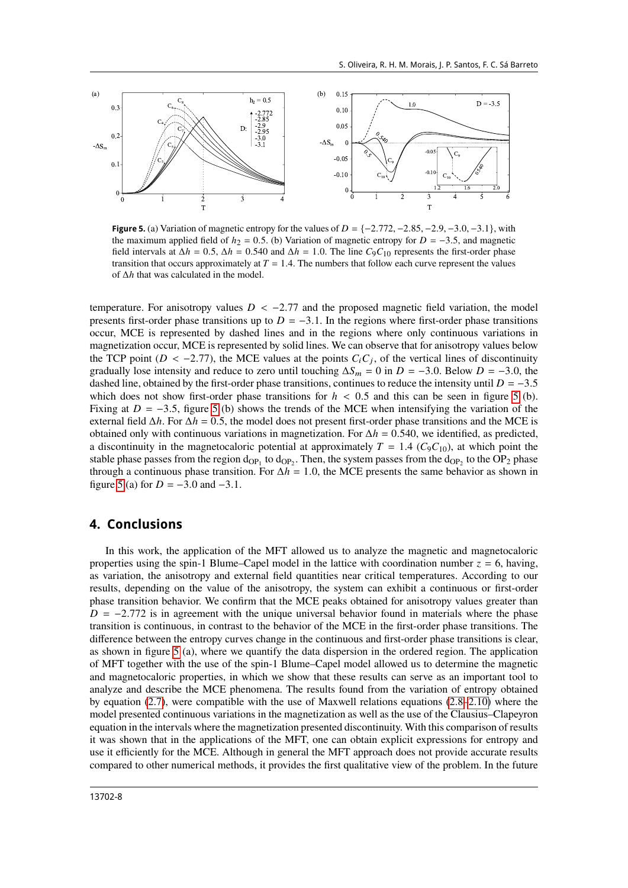

<span id="page-7-0"></span>**Figure 5.** (a) Variation of magnetic entropy for the values of  $D = \{-2.772, -2.85, -2.9, -3.0, -3.1\}$ , with the maximum applied field of  $h_2 = 0.5$ . (b) Variation of magnetic entropy for  $D = -3.5$ , and magnetic field intervals at  $\Delta h = 0.5$ ,  $\Delta h = 0.540$  and  $\Delta h = 1.0$ . The line  $C_9C_{10}$  represents the first-order phase transition that occurs approximately at  $T = 1.4$ . The numbers that follow each curve represent the values of  $\Delta h$  that was calculated in the model.

temperature. For anisotropy values  $D < -2.77$  and the proposed magnetic field variation, the model presents first-order phase transitions up to  $D = -3.1$ . In the regions where first-order phase transitions occur, MCE is represented by dashed lines and in the regions where only continuous variations in magnetization occur, MCE is represented by solid lines. We can observe that for anisotropy values below the TCP point ( $D < -2.77$ ), the MCE values at the points  $C_i C_j$ , of the vertical lines of discontinuity gradually lose intensity and reduce to zero until touching  $\Delta S_m = 0$  in  $D = -3.0$ . Below  $D = -3.0$ , the dashed line, obtained by the first-order phase transitions, continues to reduce the intensity until  $D = -3.5$ which does not show first-order phase transitions for  $h < 0.5$  and this can be seen in figure [5](#page-7-0) (b). Fixing at  $D = -3.5$ , figure [5](#page-7-0) (b) shows the trends of the MCE when intensifying the variation of the external field  $\Delta h$ . For  $\Delta h = 0.5$ , the model does not present first-order phase transitions and the MCE is obtained only with continuous variations in magnetization. For  $\Delta h = 0.540$ , we identified, as predicted, a discontinuity in the magnetocaloric potential at approximately  $T = 1.4$  ( $C_9C_{10}$ ), at which point the stable phase passes from the region  $d_{OP_1}$  to  $d_{OP_2}$ . Then, the system passes from the  $d_{OP_2}$  to the  $OP_2$  phase through a continuous phase transition. For  $\Delta h = 1.0$ , the MCE presents the same behavior as shown in figure [5](#page-7-0) (a) for  $D = -3.0$  and  $-3.1$ .

#### **4. Conclusions**

In this work, the application of the MFT allowed us to analyze the magnetic and magnetocaloric properties using the spin-1 Blume–Capel model in the lattice with coordination number  $z = 6$ , having, as variation, the anisotropy and external field quantities near critical temperatures. According to our results, depending on the value of the anisotropy, the system can exhibit a continuous or first-order phase transition behavior. We confirm that the MCE peaks obtained for anisotropy values greater than  $D = -2.772$  is in agreement with the unique universal behavior found in materials where the phase transition is continuous, in contrast to the behavior of the MCE in the first-order phase transitions. The difference between the entropy curves change in the continuous and first-order phase transitions is clear, as shown in figure [5](#page-7-0) (a), where we quantify the data dispersion in the ordered region. The application of MFT together with the use of the spin-1 Blume–Capel model allowed us to determine the magnetic and magnetocaloric properties, in which we show that these results can serve as an important tool to analyze and describe the MCE phenomena. The results found from the variation of entropy obtained by equation [\(2.7\)](#page-2-6), were compatible with the use of Maxwell relations equations [\(2.8](#page-2-3)[–2.10\)](#page-2-5) where the model presented continuous variations in the magnetization as well as the use of the Clausius–Clapeyron equation in the intervals where the magnetization presented discontinuity. With this comparison of results it was shown that in the applications of the MFT, one can obtain explicit expressions for entropy and use it efficiently for the MCE. Although in general the MFT approach does not provide accurate results compared to other numerical methods, it provides the first qualitative view of the problem. In the future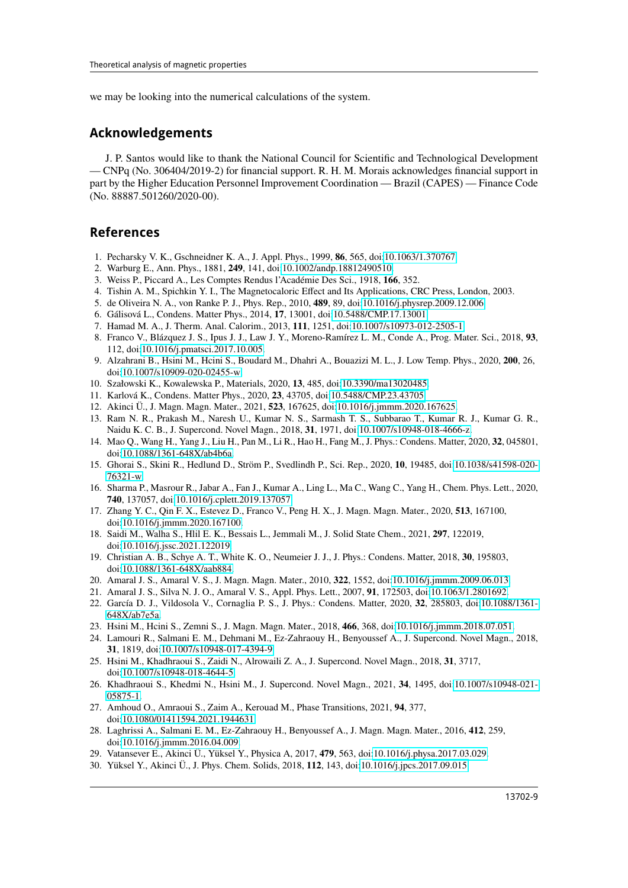we may be looking into the numerical calculations of the system.

### **Acknowledgements**

J. P. Santos would like to thank the National Council for Scientific and Technological Development — CNPq (No. 306404/2019-2) for financial support. R. H. M. Morais acknowledges financial support in part by the Higher Education Personnel Improvement Coordination — Brazil (CAPES) — Finance Code (No. 88887.501260/2020-00).

#### **References**

- <span id="page-8-0"></span>1. Pecharsky V. K., Gschneidner K. A., J. Appl. Phys., 1999, **86**, 565, doi[:10.1063/1.370767.](https://doi.org/10.1063/1.370767)
- <span id="page-8-1"></span>2. Warburg E., Ann. Phys., 1881, **249**, 141, doi[:10.1002/andp.18812490510.](https://doi.org/10.1002/andp.18812490510)
- <span id="page-8-2"></span>3. Weiss P., Piccard A., Les Comptes Rendus l'Académie Des Sci., 1918, **166**, 352.
- <span id="page-8-3"></span>4. Tishin A. M., Spichkin Y. I., The Magnetocaloric Effect and Its Applications, CRC Press, London, 2003.
- <span id="page-8-4"></span>5. de Oliveira N. A., von Ranke P. J., Phys. Rep., 2010, **489**, 89, doi[:10.1016/j.physrep.2009.12.006.](https://doi.org/10.1016/j.physrep.2009.12.006)
- 6. Gálisová L., Condens. Matter Phys., 2014, **17**, 13001, doi[:10.5488/CMP.17.13001.](https://doi.org/10.5488/CMP.17.13001)
- 7. Hamad M. A., J. Therm. Anal. Calorim., 2013, **111**, 1251, doi[:10.1007/s10973-012-2505-1.](https://doi.org/10.1007/s10973-012-2505-1)
- 8. Franco V., Blázquez J. S., Ipus J. J., Law J. Y., Moreno-Ramírez L. M., Conde A., Prog. Mater. Sci., 2018, **93**, 112, doi[:10.1016/j.pmatsci.2017.10.005.](https://doi.org/10.1016/j.pmatsci.2017.10.005)
- 9. Alzahrani B., Hsini M., Hcini S., Boudard M., Dhahri A., Bouazizi M. L., J. Low Temp. Phys., 2020, **200**, 26, doi[:10.1007/s10909-020-02455-w.](https://doi.org/10.1007/s10909-020-02455-w)
- 10. Szałowski K., Kowalewska P., Materials, 2020, **13**, 485, doi[:10.3390/ma13020485.](https://doi.org/10.3390/ma13020485)
- 11. Karlová K., Condens. Matter Phys., 2020, **23**, 43705, doi[:10.5488/CMP.23.43705.](https://doi.org/10.5488/CMP.23.43705)
- <span id="page-8-5"></span>12. Akinci Ü., J. Magn. Magn. Mater., 2021, **523**, 167625, doi[:10.1016/j.jmmm.2020.167625.](https://doi.org/10.1016/j.jmmm.2020.167625)
- <span id="page-8-6"></span>13. Ram N. R., Prakash M., Naresh U., Kumar N. S., Sarmash T. S., Subbarao T., Kumar R. J., Kumar G. R., Naidu K. C. B., J. Supercond. Novel Magn., 2018, **31**, 1971, doi[:10.1007/s10948-018-4666-z.](https://doi.org/10.1007/s10948-018-4666-z)
- 14. Mao Q., Wang H., Yang J., Liu H., Pan M., Li R., Hao H., Fang M., J. Phys.: Condens. Matter, 2020, **32**, 045801, doi[:10.1088/1361-648X/ab4b6a.](https://doi.org/10.1088/1361-648X/ab4b6a)
- 15. Ghorai S., Skini R., Hedlund D., Ström P., Svedlindh P., Sci. Rep., 2020, **10**, 19485, doi[:10.1038/s41598-020-](https://doi.org/10.1038/s41598-020-76321-w) [76321-w.](https://doi.org/10.1038/s41598-020-76321-w)
- 16. Sharma P., Masrour R., Jabar A., Fan J., Kumar A., Ling L., Ma C., Wang C., Yang H., Chem. Phys. Lett., 2020, **740**, 137057, doi[:10.1016/j.cplett.2019.137057.](https://doi.org/10.1016/j.cplett.2019.137057)
- 17. Zhang Y. C., Qin F. X., Estevez D., Franco V., Peng H. X., J. Magn. Magn. Mater., 2020, **513**, 167100, doi[:10.1016/j.jmmm.2020.167100.](https://doi.org/10.1016/j.jmmm.2020.167100)
- 18. Saidi M., Walha S., Hlil E. K., Bessais L., Jemmali M., J. Solid State Chem., 2021, **297**, 122019, doi[:10.1016/j.jssc.2021.122019.](https://doi.org/10.1016/j.jssc.2021.122019)
- <span id="page-8-7"></span>19. Christian A. B., Schye A. T., White K. O., Neumeier J. J., J. Phys.: Condens. Matter, 2018, **30**, 195803, doi[:10.1088/1361-648X/aab884.](https://doi.org/10.1088/1361-648X/aab884)
- <span id="page-8-8"></span>20. Amaral J. S., Amaral V. S., J. Magn. Magn. Mater., 2010, **322**, 1552, doi[:10.1016/j.jmmm.2009.06.013.](https://doi.org/10.1016/j.jmmm.2009.06.013)
- 21. Amaral J. S., Silva N. J. O., Amaral V. S., Appl. Phys. Lett., 2007, **91**, 172503, doi[:10.1063/1.2801692.](https://doi.org/10.1063/1.2801692)
- 22. García D. J., Vildosola V., Cornaglia P. S., J. Phys.: Condens. Matter, 2020, **32**, 285803, doi[:10.1088/1361-](https://doi.org/10.1088/1361-648X/ab7e5a) [648X/ab7e5a.](https://doi.org/10.1088/1361-648X/ab7e5a)
- 23. Hsini M., Hcini S., Zemni S., J. Magn. Magn. Mater., 2018, **466**, 368, doi[:10.1016/j.jmmm.2018.07.051.](https://doi.org/10.1016/j.jmmm.2018.07.051)
- 24. Lamouri R., Salmani E. M., Dehmani M., Ez-Zahraouy H., Benyoussef A., J. Supercond. Novel Magn., 2018, **31**, 1819, doi[:10.1007/s10948-017-4394-9.](https://doi.org/10.1007/s10948-017-4394-9)
- 25. Hsini M., Khadhraoui S., Zaidi N., Alrowaili Z. A., J. Supercond. Novel Magn., 2018, **31**, 3717, doi[:10.1007/s10948-018-4644-5.](https://doi.org/10.1007/s10948-018-4644-5)
- 26. Khadhraoui S., Khedmi N., Hsini M., J. Supercond. Novel Magn., 2021, **34**, 1495, doi[:10.1007/s10948-021-](https://doi.org/10.1007/s10948-021-05875-1) [05875-1.](https://doi.org/10.1007/s10948-021-05875-1)
- <span id="page-8-9"></span>27. Amhoud O., Amraoui S., Zaim A., Kerouad M., Phase Transitions, 2021, **94**, 377, doi[:10.1080/01411594.2021.1944631.](https://doi.org/10.1080/01411594.2021.1944631)
- <span id="page-8-10"></span>28. Laghrissi A., Salmani E. M., Ez-Zahraouy H., Benyoussef A., J. Magn. Magn. Mater., 2016, **412**, 259, doi[:10.1016/j.jmmm.2016.04.009.](https://doi.org/10.1016/j.jmmm.2016.04.009)
- 29. Vatansever E., Akinci Ü., Yüksel Y., Physica A, 2017, **479**, 563, doi[:10.1016/j.physa.2017.03.029.](https://doi.org/10.1016/j.physa.2017.03.029)
- 30. Yüksel Y., Akinci Ü., J. Phys. Chem. Solids, 2018, **112**, 143, doi[:10.1016/j.jpcs.2017.09.015.](https://doi.org/10.1016/j.jpcs.2017.09.015)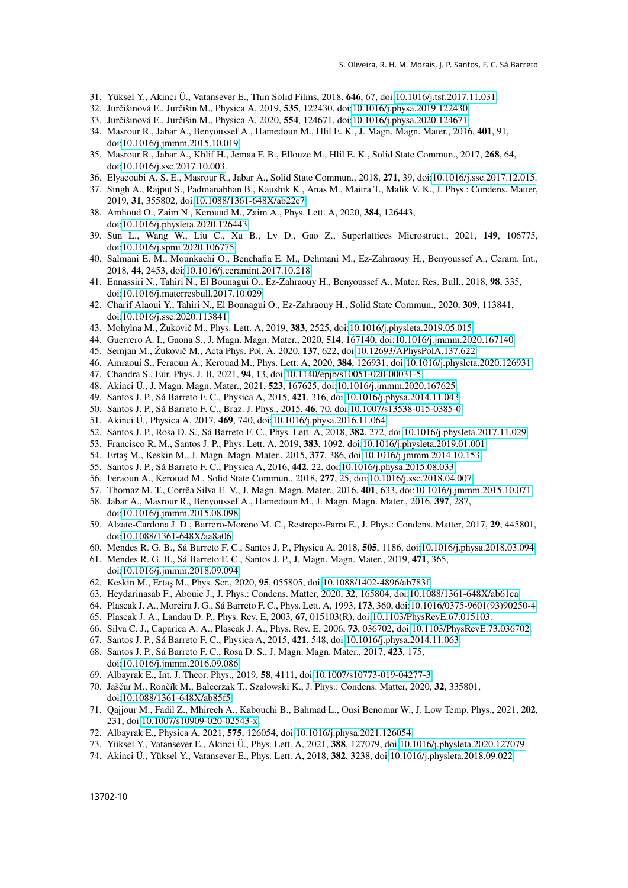- <span id="page-9-18"></span>31. Yüksel Y., Akinci Ü., Vatansever E., Thin Solid Films, 2018, **646**, 67, doi[:10.1016/j.tsf.2017.11.031.](https://doi.org/10.1016/j.tsf.2017.11.031)
- 32. Jurčišinová E., Jurčišin M., Physica A, 2019, **535**, 122430, doi[:10.1016/j.physa.2019.122430.](https://doi.org/10.1016/j.physa.2019.122430)
- <span id="page-9-0"></span>33. Jurčišinová E., Jurčišin M., Physica A, 2020, **554**, 124671, doi[:10.1016/j.physa.2020.124671.](https://doi.org/10.1016/j.physa.2020.124671)
- <span id="page-9-1"></span>34. Masrour R., Jabar A., Benyoussef A., Hamedoun M., Hlil E. K., J. Magn. Magn. Mater., 2016, **401**, 91, doi[:10.1016/j.jmmm.2015.10.019.](https://doi.org/10.1016/j.jmmm.2015.10.019)
- 35. Masrour R., Jabar A., Khlif H., Jemaa F. B., Ellouze M., Hlil E. K., Solid State Commun., 2017, **268**, 64, doi[:10.1016/j.ssc.2017.10.003.](https://doi.org/10.1016/j.ssc.2017.10.003)
- 36. Elyacoubi A. S. E., Masrour R., Jabar A., Solid State Commun., 2018, **271**, 39, doi[:10.1016/j.ssc.2017.12.015.](https://doi.org/10.1016/j.ssc.2017.12.015)
- 37. Singh A., Rajput S., Padmanabhan B., Kaushik K., Anas M., Maitra T., Malik V. K., J. Phys.: Condens. Matter, 2019, **31**, 355802, doi[:10.1088/1361-648X/ab22e7.](https://doi.org/10.1088/1361-648X/ab22e7)
- 38. Amhoud O., Zaim N., Kerouad M., Zaim A., Phys. Lett. A, 2020, **384**, 126443, doi[:10.1016/j.physleta.2020.126443.](https://doi.org/10.1016/j.physleta.2020.126443)
- <span id="page-9-2"></span>39. Sun L., Wang W., Liu C., Xu B., Lv D., Gao Z., Superlattices Microstruct., 2021, **149**, 106775, doi[:10.1016/j.spmi.2020.106775.](https://doi.org/10.1016/j.spmi.2020.106775)
- <span id="page-9-3"></span>40. Salmani E. M., Mounkachi O., Benchafia E. M., Dehmani M., Ez-Zahraouy H., Benyoussef A., Ceram. Int., 2018, **44**, 2453, doi[:10.1016/j.ceramint.2017.10.218.](https://doi.org/10.1016/j.ceramint.2017.10.218)
- 41. Ennassiri N., Tahiri N., El Bounagui O., Ez-Zahraouy H., Benyoussef A., Mater. Res. Bull., 2018, **98**, 335, doi[:10.1016/j.materresbull.2017.10.029.](https://doi.org/10.1016/j.materresbull.2017.10.029)
- <span id="page-9-4"></span>42. Charif Alaoui Y., Tahiri N., El Bounagui O., Ez-Zahraouy H., Solid State Commun., 2020, **309**, 113841, doi[:10.1016/j.ssc.2020.113841.](https://doi.org/10.1016/j.ssc.2020.113841)
- <span id="page-9-5"></span>43. Mohylna M., Žukovič M., Phys. Lett. A, 2019, **383**, 2525, doi[:10.1016/j.physleta.2019.05.015.](https://doi.org/10.1016/j.physleta.2019.05.015)
- 44. Guerrero A. I., Gaona S., J. Magn. Magn. Mater., 2020, **514**, 167140, doi[:10.1016/j.jmmm.2020.167140.](https://doi.org/10.1016/j.jmmm.2020.167140)
- 45. Semjan M., Žukovič M., Acta Phys. Pol. A, 2020, **137**, 622, doi[:10.12693/APhysPolA.137.622.](https://doi.org/10.12693/APhysPolA.137.622)
- 46. Amraoui S., Feraoun A., Kerouad M., Phys. Lett. A, 2020, **384**, 126931, doi[:10.1016/j.physleta.2020.126931.](https://doi.org/10.1016/j.physleta.2020.126931)
- 47. Chandra S., Eur. Phys. J. B, 2021, **94**, 13, doi[:10.1140/epjb/s10051-020-00031-5.](https://doi.org/10.1140/epjb/s10051-020-00031-5)
- <span id="page-9-6"></span>48. Akinci Ü., J. Magn. Magn. Mater., 2021, **523**, 167625, doi[:10.1016/j.jmmm.2020.167625.](https://doi.org/10.1016/j.jmmm.2020.167625)
- <span id="page-9-7"></span>49. Santos J. P., Sá Barreto F. C., Physica A, 2015, **421**, 316, doi[:10.1016/j.physa.2014.11.043.](https://doi.org/10.1016/j.physa.2014.11.043)
- 50. Santos J. P., Sá Barreto F. C., Braz. J. Phys., 2015, **46**, 70, doi[:10.1007/s13538-015-0385-0.](https://doi.org/10.1007/s13538-015-0385-0)
- 51. Akinci Ü., Physica A, 2017, **469**, 740, doi[:10.1016/j.physa.2016.11.064.](https://doi.org/10.1016/j.physa.2016.11.064)
- 52. Santos J. P., Rosa D. S., Sá Barreto F. C., Phys. Lett. A, 2018, **382**, 272, doi[:10.1016/j.physleta.2017.11.029.](https://doi.org/10.1016/j.physleta.2017.11.029)
- <span id="page-9-8"></span>53. Francisco R. M., Santos J. P., Phys. Lett. A, 2019, **383**, 1092, doi[:10.1016/j.physleta.2019.01.001.](https://doi.org/10.1016/j.physleta.2019.01.001)
- <span id="page-9-9"></span>54. Ertaş M., Keskin M., J. Magn. Magn. Mater., 2015, **377**, 386, doi[:10.1016/j.jmmm.2014.10.153.](https://doi.org/10.1016/j.jmmm.2014.10.153)
- 55. Santos J. P., Sá Barreto F. C., Physica A, 2016, **442**, 22, doi[:10.1016/j.physa.2015.08.033.](https://doi.org/10.1016/j.physa.2015.08.033)
- 56. Feraoun A., Kerouad M., Solid State Commun., 2018, **277**, 25, doi[:10.1016/j.ssc.2018.04.007.](https://doi.org/10.1016/j.ssc.2018.04.007)
- <span id="page-9-10"></span>57. Thomaz M. T., Corrêa Silva E. V., J. Magn. Magn. Mater., 2016, **401**, 633, doi[:10.1016/j.jmmm.2015.10.071.](https://doi.org/10.1016/j.jmmm.2015.10.071)
- <span id="page-9-11"></span>58. Jabar A., Masrour R., Benyoussef A., Hamedoun M., J. Magn. Magn. Mater., 2016, **397**, 287, doi[:10.1016/j.jmmm.2015.08.098.](https://doi.org/10.1016/j.jmmm.2015.08.098)
- 59. Alzate-Cardona J. D., Barrero-Moreno M. C., Restrepo-Parra E., J. Phys.: Condens. Matter, 2017, **29**, 445801, doi[:10.1088/1361-648X/aa8a06.](https://doi.org/10.1088/1361-648X/aa8a06)
- 60. Mendes R. G. B., Sá Barreto F. C., Santos J. P., Physica A, 2018, **505**, 1186, doi[:10.1016/j.physa.2018.03.094.](https://doi.org/10.1016/j.physa.2018.03.094)
- 61. Mendes R. G. B., Sá Barreto F. C., Santos J. P., J. Magn. Magn. Mater., 2019, **471**, 365, doi[:10.1016/j.jmmm.2018.09.094.](https://doi.org/10.1016/j.jmmm.2018.09.094)
- 62. Keskin M., Ertaş M., Phys. Scr., 2020, **95**, 055805, doi[:10.1088/1402-4896/ab783f.](https://doi.org/10.1088/1402-4896/ab783f)
- <span id="page-9-12"></span>63. Heydarinasab F., Abouie J., J. Phys.: Condens. Matter, 2020, **32**, 165804, doi[:10.1088/1361-648X/ab61ca.](https://doi.org/10.1088/1361-648X/ab61ca)
- <span id="page-9-13"></span>64. Plascak J. A., Moreira J. G., Sá Barreto F. C., Phys. Lett. A, 1993, **173**, 360, doi[:10.1016/0375-9601\(93\)90250-4.](https://doi.org/10.1016/0375-9601(93)90250-4)
- 65. Plascak J. A., Landau D. P., Phys. Rev. E, 2003, **67**, 015103(R), doi[:10.1103/PhysRevE.67.015103.](https://doi.org/10.1103/PhysRevE.67.015103)
- 66. Silva C. J., Caparica A. A., Plascak J. A., Phys. Rev. E, 2006, **73**, 036702, doi[:10.1103/PhysRevE.73.036702.](https://doi.org/10.1103/PhysRevE.73.036702)
- 67. Santos J. P., Sá Barreto F. C., Physica A, 2015, **421**, 548, doi[:10.1016/j.physa.2014.11.063.](https://doi.org/10.1016/j.physa.2014.11.063)
- <span id="page-9-17"></span>68. Santos J. P., Sá Barreto F. C., Rosa D. S., J. Magn. Magn. Mater., 2017, **423**, 175, doi[:10.1016/j.jmmm.2016.09.086.](https://doi.org/10.1016/j.jmmm.2016.09.086)
- 69. Albayrak E., Int. J. Theor. Phys., 2019, **58**, 4111, doi[:10.1007/s10773-019-04277-3.](https://doi.org/10.1007/s10773-019-04277-3)
- 70. Jaščur M., Rončík M., Balcerzak T., Szałowski K., J. Phys.: Condens. Matter, 2020, **32**, 335801, doi[:10.1088/1361-648X/ab85f5.](https://doi.org/10.1088/1361-648X/ab85f5)
- 71. Qajjour M., Fadil Z., Mhirech A., Kabouchi B., Bahmad L., Ousi Benomar W., J. Low Temp. Phys., 2021, **202**, 231, doi[:10.1007/s10909-020-02543-x.](https://doi.org/10.1007/s10909-020-02543-x)
- <span id="page-9-14"></span>72. Albayrak E., Physica A, 2021, **575**, 126054, doi[:10.1016/j.physa.2021.126054.](https://doi.org/10.1016/j.physa.2021.126054)
- <span id="page-9-15"></span>73. Yüksel Y., Vatansever E., Akinci Ü., Phys. Lett. A, 2021, **388**, 127079, doi[:10.1016/j.physleta.2020.127079.](https://doi.org/10.1016/j.physleta.2020.127079)
- <span id="page-9-16"></span>74. Akinci Ü., Yüksel Y., Vatansever E., Phys. Lett. A, 2018, **382**, 3238, doi[:10.1016/j.physleta.2018.09.022.](https://doi.org/10.1016/j.physleta.2018.09.022)